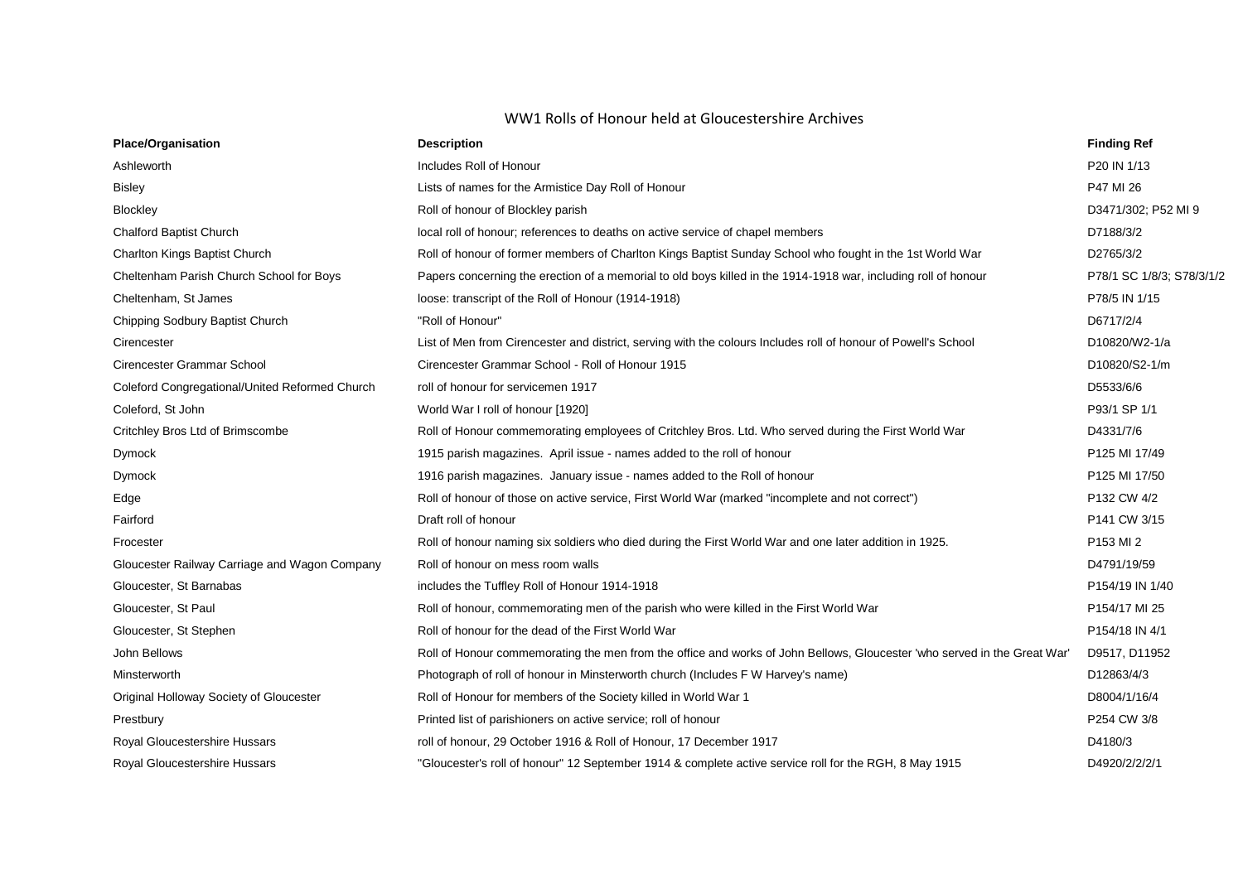## WW1 Rolls of Honour held at Gloucestershire Archives

| <b>Place/Organisation</b>                      | <b>Description</b>                                                                                                       | <b>Finding Ref</b>        |
|------------------------------------------------|--------------------------------------------------------------------------------------------------------------------------|---------------------------|
| Ashleworth                                     | Includes Roll of Honour                                                                                                  | P20 IN 1/13               |
| <b>Bisley</b>                                  | Lists of names for the Armistice Day Roll of Honour                                                                      | P47 MI 26                 |
| Blockley                                       | Roll of honour of Blockley parish                                                                                        | D3471/302; P52 MI 9       |
| Chalford Baptist Church                        | local roll of honour; references to deaths on active service of chapel members                                           | D7188/3/2                 |
| Charlton Kings Baptist Church                  | Roll of honour of former members of Charlton Kings Baptist Sunday School who fought in the 1st World War                 | D2765/3/2                 |
| Cheltenham Parish Church School for Boys       | Papers concerning the erection of a memorial to old boys killed in the 1914-1918 war, including roll of honour           | P78/1 SC 1/8/3; S78/3/1/2 |
| Cheltenham, St James                           | loose: transcript of the Roll of Honour (1914-1918)                                                                      | P78/5 IN 1/15             |
| Chipping Sodbury Baptist Church                | "Roll of Honour"                                                                                                         | D6717/2/4                 |
| Cirencester                                    | List of Men from Cirencester and district, serving with the colours Includes roll of honour of Powell's School           | D10820/W2-1/a             |
| Cirencester Grammar School                     | Cirencester Grammar School - Roll of Honour 1915                                                                         | D10820/S2-1/m             |
| Coleford Congregational/United Reformed Church | roll of honour for servicemen 1917                                                                                       | D5533/6/6                 |
| Coleford, St John                              | World War I roll of honour [1920]                                                                                        | P93/1 SP 1/1              |
| Critchley Bros Ltd of Brimscombe               | Roll of Honour commemorating employees of Critchley Bros. Ltd. Who served during the First World War                     | D4331/7/6                 |
| <b>Dymock</b>                                  | 1915 parish magazines. April issue - names added to the roll of honour                                                   | P125 MI 17/49             |
| Dymock                                         | 1916 parish magazines. January issue - names added to the Roll of honour                                                 | P125 MI 17/50             |
| Edge                                           | Roll of honour of those on active service, First World War (marked "incomplete and not correct")                         | P132 CW 4/2               |
| Fairford                                       | Draft roll of honour                                                                                                     | P141 CW 3/15              |
| Frocester                                      | Roll of honour naming six soldiers who died during the First World War and one later addition in 1925.                   | P153 MI 2                 |
| Gloucester Railway Carriage and Wagon Company  | Roll of honour on mess room walls                                                                                        | D4791/19/59               |
| Gloucester, St Barnabas                        | includes the Tuffley Roll of Honour 1914-1918                                                                            | P154/19 IN 1/40           |
| Gloucester, St Paul                            | Roll of honour, commemorating men of the parish who were killed in the First World War                                   | P154/17 MI 25             |
| Gloucester, St Stephen                         | Roll of honour for the dead of the First World War                                                                       | P154/18 IN 4/1            |
| John Bellows                                   | Roll of Honour commemorating the men from the office and works of John Bellows, Gloucester 'who served in the Great War' | D9517, D11952             |
| Minsterworth                                   | Photograph of roll of honour in Minsterworth church (Includes F W Harvey's name)                                         | D12863/4/3                |
| Original Holloway Society of Gloucester        | Roll of Honour for members of the Society killed in World War 1                                                          | D8004/1/16/4              |
| Prestbury                                      | Printed list of parishioners on active service; roll of honour                                                           | P254 CW 3/8               |
| Royal Gloucestershire Hussars                  | roll of honour, 29 October 1916 & Roll of Honour, 17 December 1917                                                       | D4180/3                   |
| Royal Gloucestershire Hussars                  | "Gloucester's roll of honour" 12 September 1914 & complete active service roll for the RGH, 8 May 1915                   | D4920/2/2/2/1             |